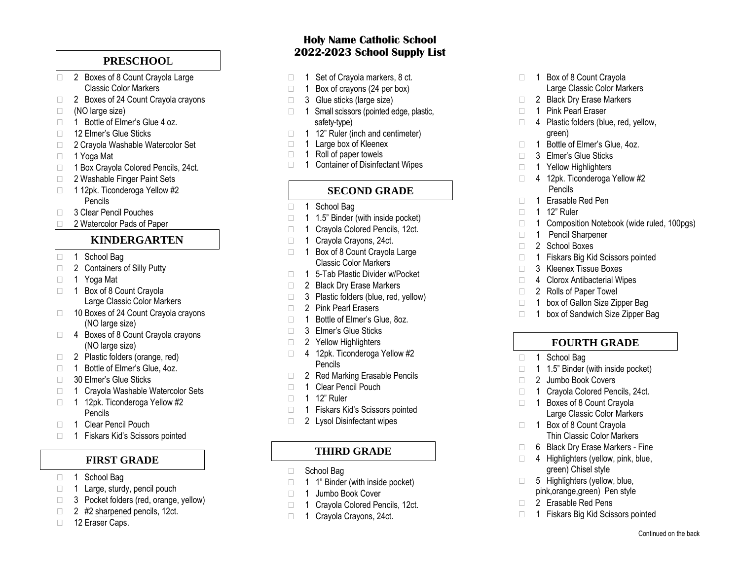# **PRESCHOO** L

- □ 2 Boxes of 8 Count Crayola Large Classic Color Markers
- $\Box$ 2 Boxes of 24 Count Crayola crayons
- □ (NO large size)
- □ 1 Bottle of Elmer's Glue 4 oz.
- □ 12 Flmer's Glue Sticks
- □ 2 Crayola Washable Watercolor Set
- □ 1 Yoga Mat
- □ 1 Box Crayola Colored Pencils, 24ct.
- □ 2 Washable Finger Paint Sets
- 1 12pk. Ticonderoga Yellow #2 Pencils
- □ 3 Clear Pencil Pouches
- □ 2 Watercolor Pads of Paper

# **KINDERGARTEN**

- □ 1 School Bag
- □ 2 Containers of Silly Putty
- □ 1 Yoga Mat
- 1 Box of 8 Count Crayola Large Classic Color Markers
- □ 10 Boxes of 24 Count Crayola crayons (NO large size) 2 Elaxe Caps of Society Caps (large 1 Set of Crayola markers, 8 ct. 1 Set of Crayola markers, 8 ct. 2 Glue sticks (large size)  $\frac{1}{2}$  Box of crayons  $\frac{1}{2}$  Box of crayons (24 per box)  $\frac{1}{2}$  Eraser Core of Crayon
- □ 4 Boxes of 8 Count Crayola crayons (NO large size)
- $\Box$ 2 Plastic folders (orange, red )
- □ 1 Bottle of Elmer's Glue, 4oz.
- □ 30 Elmer's Glue Sticks
- □ 1 Crayola Washable Watercolor Sets
- 1 12pk. Ticonderoga Yellow #2 Pencils
- □ 1 Clear Pencil Pouch
- 1 Fiskars Kid's Scissors pointed

## **FIRST GRADE**

- □ 1 School Bag
- 1 Large, sturdy, pencil pouch
- □ 3 Pocket folders (red, orange, yellow)
- $\Box$  2 #2 sharpened pencils, 12ct.
- 

## **Holy Name Catholic School 2022 -2023 School Supply List**

- 
- 
- 
- safety -type)
- 1 12" Ruler (inch and centimeter)
- □ 1 Large box of Kleenex
- $\Box$  1 Roll of paper towels
- □ 1 Container of Disinfectant Wipes

## **SECOND GRADE**

- 1 School Bag
- $\Box$  1.5" Binder (with inside pocket)
- 1 Crayola Colored Pencils, 12ct.
- 1 Crayola Crayons, 24ct.
- 1 Box of 8 Count Crayola Large Classic Color Markers
- $\Box$  1 5 -Tab Plastic Divider w/Pocket
- □ 2 Black Dry Erase Markers
- □ 3 Plastic folders (blue, red, yellow)
- □ 2 Pink Pearl Erasers
- □ 1 Bottle of Elmer's Glue, 8oz.
- □ 3 Elmer's Glue Sticks
- □ 2 Yellow Highlighters
- 4 12pk. Ticonderoga Yellow #2 Pencils
- □ 2 Red Marking Erasable Pencils
- 1 Clear Pencil Pouch
- □ 1 12" Ruler
- 1 Fiskars Kid's Scissors pointed
- □ 2 Lysol Disinfectant wipes

# **THIRD GRADE**

- □ School Bag
- $\Box$  1 1" Binder (with inside pocket)
- 1 Jumbo Book Cover
- 1 Crayola Colored Pencils, 12ct.
- 1 Crayola Crayons, 24ct.
- 1 Box of 8 Count Crayola Large Classic Color Markers
- 2 Black Dry Erase Markers
- □ 1 Pink Pearl Eraser
- 4 Plastic folders (blue, red, yellow, green )
- 1 Bottle of Elmer's Glue, 4oz.
- □ 3 Elmer's Glue Sticks
- 1 Yellow Highlighters
- 4 12pk. Ticonderoga Yellow #2 Pencils
- $\Box$ 1 Erasable Red Pen
- □ 1 12" Ruler
- 1 Composition Notebook (wide ruled, 100pgs)
- 1 Pencil Sharpener
- □ 2 School Boxes
- 1 Fiskars Big Kid Scissors pointed
- □ 3 Kleenex Tissue Boxes
- □ 4 Clorox Antibacterial Wipes
- □ 2 Rolls of Paper Towel
- 1 box of Gallon Size Zipper Bag
- □ 1 box of Sandwich Size Zipper Bag

# **FOURTH GRADE**

- 1 School Bag
- 1 1.5" Binder (with inside pocket)
- □ 2 Jumbo Book Covers
- 1 Crayola Colored Pencils, 24ct.
- □ 1 Boxes of 8 Count Cravola Large Classic Color Markers
- 1 Box of 8 Count Crayola Thin Classic Color Markers
- $\Box$ 6 Black Dry Erase Markers - Fine
- $\Box$  4 Highlighters (yellow, pink, blue, green) Chisel style
- $\Box$ 5 Highlighters (yellow, blue, pink,orange,green) Pen style
- □ 2 Erasable Red Pens
- 1 Fiskars Big Kid Scissors pointed